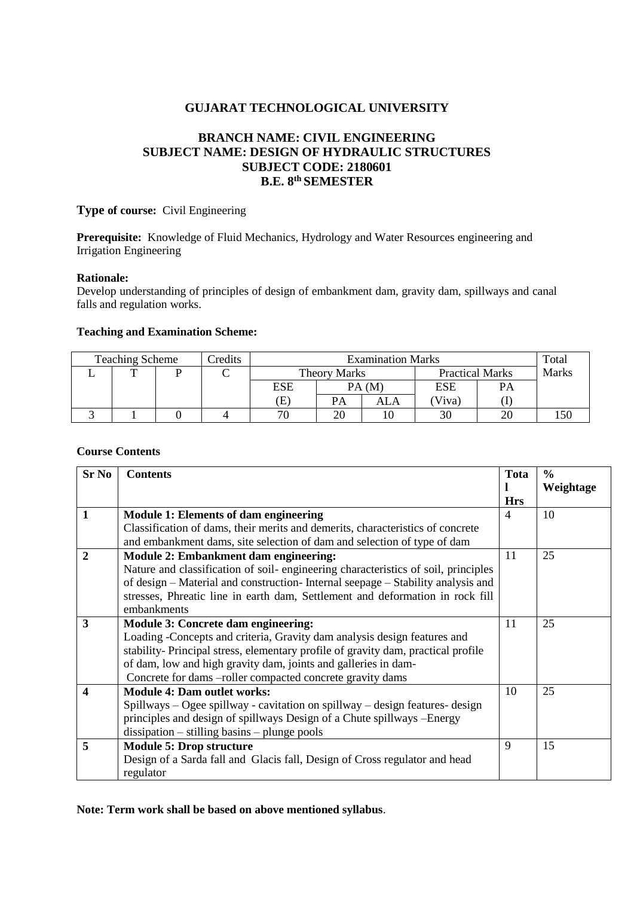## **GUJARAT TECHNOLOGICAL UNIVERSITY**

# **BRANCH NAME: CIVIL ENGINEERING SUBJECT NAME: DESIGN OF HYDRAULIC STRUCTURES SUBJECT CODE: 2180601 B.E. 8th SEMESTER**

**Type of course:** Civil Engineering

**Prerequisite:** Knowledge of Fluid Mechanics, Hydrology and Water Resources engineering and Irrigation Engineering

### **Rationale:**

Develop understanding of principles of design of embankment dam, gravity dam, spillways and canal falls and regulation works.

#### **Teaching and Examination Scheme:**

| <b>Teaching Scheme</b> |  |  | Credits | <b>Examination Marks</b>   |                     |     |                        | Total |              |
|------------------------|--|--|---------|----------------------------|---------------------|-----|------------------------|-------|--------------|
|                        |  |  |         |                            | <b>Theory Marks</b> |     | <b>Practical Marks</b> |       | <b>Marks</b> |
|                        |  |  |         | ESE                        | PA(M)               |     | <b>ESE</b>             | PA    |              |
|                        |  |  |         | $\left( \mathrm{E}\right)$ | PA                  | ALA | Viva)                  |       |              |
|                        |  |  |         | 70                         | 20                  |     | 30                     |       |              |

## **Course Contents**

| <b>Sr No</b>            | <b>Contents</b>                                                                   | <b>Tota</b> | $\frac{0}{0}$ |
|-------------------------|-----------------------------------------------------------------------------------|-------------|---------------|
|                         |                                                                                   | 1           | Weightage     |
|                         |                                                                                   | <b>Hrs</b>  |               |
| $\mathbf{1}$            | <b>Module 1: Elements of dam engineering</b>                                      | 4           | 10            |
|                         | Classification of dams, their merits and demerits, characteristics of concrete    |             |               |
|                         | and embankment dams, site selection of dam and selection of type of dam           |             |               |
| $\overline{2}$          | <b>Module 2: Embankment dam engineering:</b>                                      | 11          | 25            |
|                         | Nature and classification of soil-engineering characteristics of soil, principles |             |               |
|                         | of design – Material and construction-Internal seepage – Stability analysis and   |             |               |
|                         | stresses, Phreatic line in earth dam, Settlement and deformation in rock fill     |             |               |
|                         | embankments                                                                       |             |               |
| $\overline{\mathbf{3}}$ | <b>Module 3: Concrete dam engineering:</b>                                        | 11          | 25            |
|                         | Loading -Concepts and criteria, Gravity dam analysis design features and          |             |               |
|                         | stability-Principal stress, elementary profile of gravity dam, practical profile  |             |               |
|                         | of dam, low and high gravity dam, joints and galleries in dam-                    |             |               |
|                         | Concrete for dams -roller compacted concrete gravity dams                         |             |               |
| 4                       | <b>Module 4: Dam outlet works:</b>                                                | 10          | 25            |
|                         | Spillways – Ogee spillway - cavitation on spillway – design features- design      |             |               |
|                         | principles and design of spillways Design of a Chute spillways -Energy            |             |               |
|                         | $dissipation - stilling basins - plunge pools$                                    |             |               |
| 5                       | <b>Module 5: Drop structure</b>                                                   | 9           | 15            |
|                         | Design of a Sarda fall and Glacis fall, Design of Cross regulator and head        |             |               |
|                         | regulator                                                                         |             |               |

**Note: Term work shall be based on above mentioned syllabus**.